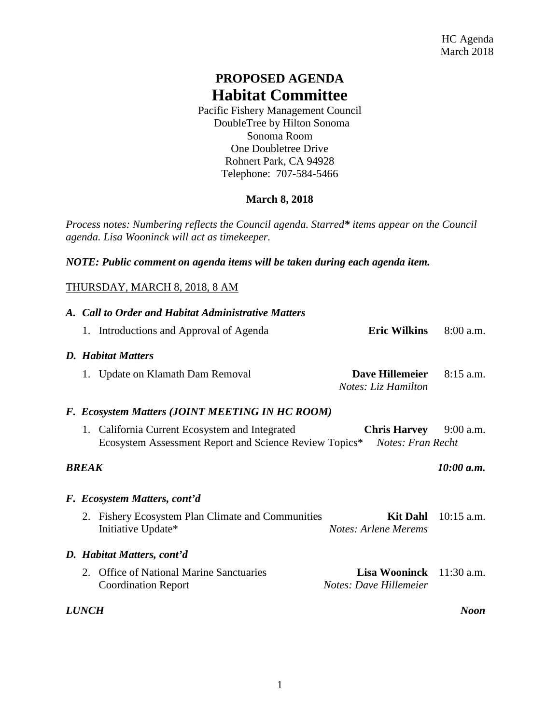## **PROPOSED AGENDA Habitat Committee**

Pacific Fishery Management Council DoubleTree by Hilton Sonoma Sonoma Room One Doubletree Drive Rohnert Park, CA 94928 Telephone: 707-584-5466

## **March 8, 2018**

*Process notes: Numbering reflects the Council agenda. Starred\* items appear on the Council agenda. Lisa Wooninck will act as timekeeper.* 

*NOTE: Public comment on agenda items will be taken during each agenda item.*

## THURSDAY, MARCH 8, 2018, 8 AM

|                             | A. Call to Order and Habitat Administrative Matters |                                                                                                          |                                                             |              |  |  |
|-----------------------------|-----------------------------------------------------|----------------------------------------------------------------------------------------------------------|-------------------------------------------------------------|--------------|--|--|
|                             |                                                     | 1. Introductions and Approval of Agenda                                                                  | <b>Eric Wilkins</b>                                         | $8:00$ a.m.  |  |  |
|                             | <b>D.</b> Habitat Matters                           |                                                                                                          |                                                             |              |  |  |
|                             |                                                     | 1. Update on Klamath Dam Removal                                                                         | Dave Hillemeier<br>Notes: Liz Hamilton                      | $8:15$ a.m.  |  |  |
|                             | F. Ecosystem Matters (JOINT MEETING IN HC ROOM)     |                                                                                                          |                                                             |              |  |  |
|                             |                                                     | 1. California Current Ecosystem and Integrated<br>Ecosystem Assessment Report and Science Review Topics* | <b>Chris Harvey</b><br><b>Notes: Fran Recht</b>             | $9:00$ a.m.  |  |  |
| 10:00 a.m.<br><b>BREAK</b>  |                                                     |                                                                                                          |                                                             |              |  |  |
|                             | F. Ecosystem Matters, cont'd                        |                                                                                                          |                                                             |              |  |  |
|                             |                                                     | 2. Fishery Ecosystem Plan Climate and Communities<br>Initiative Update*                                  | <b>Kit Dahl</b><br>Notes: Arlene Merems                     | $10:15$ a.m. |  |  |
|                             |                                                     | D. Habitat Matters, cont'd                                                                               |                                                             |              |  |  |
|                             | $2^{\circ}$                                         | <b>Office of National Marine Sanctuaries</b><br><b>Coordination Report</b>                               | <b>Lisa Wooninck</b> $11:30$ a.m.<br>Notes: Dave Hillemeier |              |  |  |
| <i>LUNCH</i><br><b>Noon</b> |                                                     |                                                                                                          |                                                             |              |  |  |